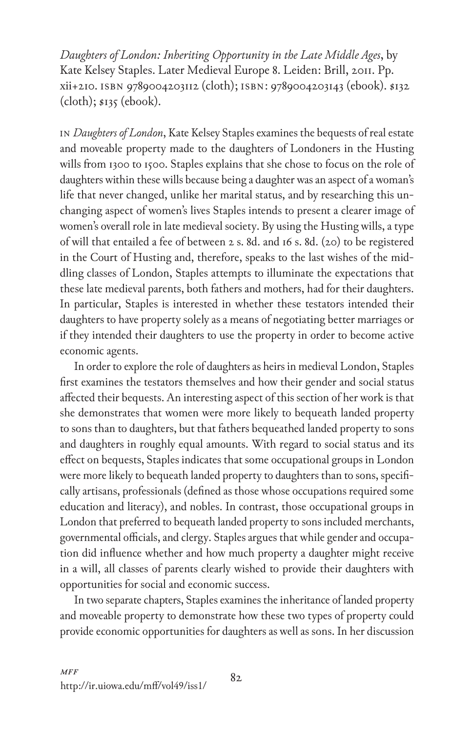*Daughters of London: Inheriting Opportunity in the Late Middle Ages*, by Kate Kelsey Staples. Later Medieval Europe 8. Leiden: Brill, 2011. Pp. xii+210. isbn 9789004203112 (cloth); isbn: 9789004203143 (ebook). \$132  $(cloth);$   $s<sub>135</sub>$  (ebook).

In *Daughters of London*, Kate Kelsey Staples examines the bequests of real estate and moveable property made to the daughters of Londoners in the Husting wills from 1300 to 1500. Staples explains that she chose to focus on the role of daughters within these wills because being a daughter was an aspect of a woman's life that never changed, unlike her marital status, and by researching this unchanging aspect of women's lives Staples intends to present a clearer image of women's overall role in late medieval society. By using the Husting wills, a type of will that entailed a fee of between 2 s. 8d. and 16 s. 8d. (20) to be registered in the Court of Husting and, therefore, speaks to the last wishes of the middling classes of London, Staples attempts to illuminate the expectations that these late medieval parents, both fathers and mothers, had for their daughters. In particular, Staples is interested in whether these testators intended their daughters to have property solely as a means of negotiating better marriages or if they intended their daughters to use the property in order to become active economic agents.

In order to explore the role of daughters as heirs in medieval London, Staples first examines the testators themselves and how their gender and social status affected their bequests. An interesting aspect of this section of her work is that she demonstrates that women were more likely to bequeath landed property to sons than to daughters, but that fathers bequeathed landed property to sons and daughters in roughly equal amounts. With regard to social status and its effect on bequests, Staples indicates that some occupational groups in London were more likely to bequeath landed property to daughters than to sons, specifically artisans, professionals (defined as those whose occupations required some education and literacy), and nobles. In contrast, those occupational groups in London that preferred to bequeath landed property to sons included merchants, governmental officials, and clergy. Staples argues that while gender and occupation did influence whether and how much property a daughter might receive in a will, all classes of parents clearly wished to provide their daughters with opportunities for social and economic success.

In two separate chapters, Staples examines the inheritance of landed property and moveable property to demonstrate how these two types of property could provide economic opportunities for daughters as well as sons. In her discussion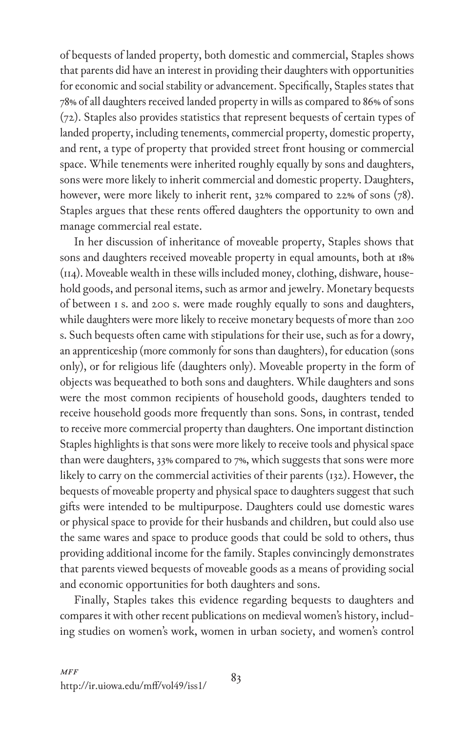of bequests of landed property, both domestic and commercial, Staples shows that parents did have an interest in providing their daughters with opportunities for economic and social stability or advancement. Specifically, Staples states that 78% of all daughters received landed property in wills as compared to 86% of sons (72). Staples also provides statistics that represent bequests of certain types of landed property, including tenements, commercial property, domestic property, and rent, a type of property that provided street front housing or commercial space. While tenements were inherited roughly equally by sons and daughters, sons were more likely to inherit commercial and domestic property. Daughters, however, were more likely to inherit rent, 32% compared to 22% of sons (78). Staples argues that these rents offered daughters the opportunity to own and manage commercial real estate.

In her discussion of inheritance of moveable property, Staples shows that sons and daughters received moveable property in equal amounts, both at 18% (114). Moveable wealth in these wills included money, clothing, dishware, household goods, and personal items, such as armor and jewelry. Monetary bequests of between 1 s. and 200 s. were made roughly equally to sons and daughters, while daughters were more likely to receive monetary bequests of more than 200 s. Such bequests often came with stipulations for their use, such as for a dowry, an apprenticeship (more commonly for sons than daughters), for education (sons only), or for religious life (daughters only). Moveable property in the form of objects was bequeathed to both sons and daughters. While daughters and sons were the most common recipients of household goods, daughters tended to receive household goods more frequently than sons. Sons, in contrast, tended to receive more commercial property than daughters. One important distinction Staples highlights is that sons were more likely to receive tools and physical space than were daughters, 33% compared to 7%, which suggests that sons were more likely to carry on the commercial activities of their parents (132). However, the bequests of moveable property and physical space to daughters suggest that such gifts were intended to be multipurpose. Daughters could use domestic wares or physical space to provide for their husbands and children, but could also use the same wares and space to produce goods that could be sold to others, thus providing additional income for the family. Staples convincingly demonstrates that parents viewed bequests of moveable goods as a means of providing social and economic opportunities for both daughters and sons.

Finally, Staples takes this evidence regarding bequests to daughters and compares it with other recent publications on medieval women's history, including studies on women's work, women in urban society, and women's control